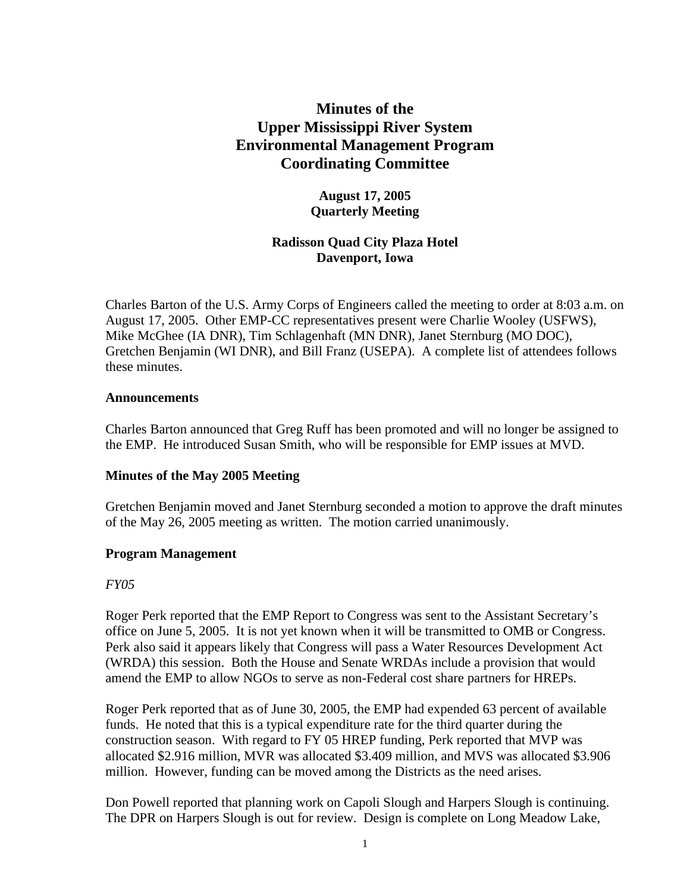# **Minutes of the Upper Mississippi River System Environmental Management Program Coordinating Committee**

# **August 17, 2005 Quarterly Meeting**

# **Radisson Quad City Plaza Hotel Davenport, Iowa**

Charles Barton of the U.S. Army Corps of Engineers called the meeting to order at 8:03 a.m. on August 17, 2005. Other EMP-CC representatives present were Charlie Wooley (USFWS), Mike McGhee (IA DNR), Tim Schlagenhaft (MN DNR), Janet Sternburg (MO DOC), Gretchen Benjamin (WI DNR), and Bill Franz (USEPA). A complete list of attendees follows these minutes.

### **Announcements**

Charles Barton announced that Greg Ruff has been promoted and will no longer be assigned to the EMP. He introduced Susan Smith, who will be responsible for EMP issues at MVD.

### **Minutes of the May 2005 Meeting**

Gretchen Benjamin moved and Janet Sternburg seconded a motion to approve the draft minutes of the May 26, 2005 meeting as written. The motion carried unanimously.

### **Program Management**

### *FY05*

Roger Perk reported that the EMP Report to Congress was sent to the Assistant Secretary's office on June 5, 2005. It is not yet known when it will be transmitted to OMB or Congress. Perk also said it appears likely that Congress will pass a Water Resources Development Act (WRDA) this session. Both the House and Senate WRDAs include a provision that would amend the EMP to allow NGOs to serve as non-Federal cost share partners for HREPs.

Roger Perk reported that as of June 30, 2005, the EMP had expended 63 percent of available funds. He noted that this is a typical expenditure rate for the third quarter during the construction season. With regard to FY 05 HREP funding, Perk reported that MVP was allocated \$2.916 million, MVR was allocated \$3.409 million, and MVS was allocated \$3.906 million. However, funding can be moved among the Districts as the need arises.

Don Powell reported that planning work on Capoli Slough and Harpers Slough is continuing. The DPR on Harpers Slough is out for review. Design is complete on Long Meadow Lake,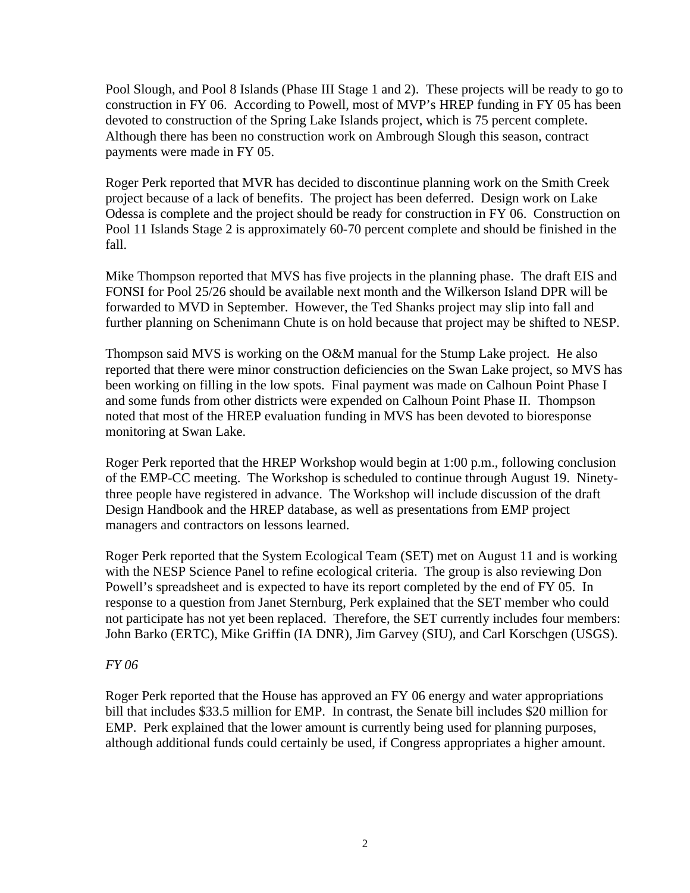Pool Slough, and Pool 8 Islands (Phase III Stage 1 and 2). These projects will be ready to go to construction in FY 06. According to Powell, most of MVP's HREP funding in FY 05 has been devoted to construction of the Spring Lake Islands project, which is 75 percent complete. Although there has been no construction work on Ambrough Slough this season, contract payments were made in FY 05.

Roger Perk reported that MVR has decided to discontinue planning work on the Smith Creek project because of a lack of benefits. The project has been deferred. Design work on Lake Odessa is complete and the project should be ready for construction in FY 06. Construction on Pool 11 Islands Stage 2 is approximately 60-70 percent complete and should be finished in the fall.

Mike Thompson reported that MVS has five projects in the planning phase. The draft EIS and FONSI for Pool 25/26 should be available next month and the Wilkerson Island DPR will be forwarded to MVD in September. However, the Ted Shanks project may slip into fall and further planning on Schenimann Chute is on hold because that project may be shifted to NESP.

Thompson said MVS is working on the O&M manual for the Stump Lake project. He also reported that there were minor construction deficiencies on the Swan Lake project, so MVS has been working on filling in the low spots. Final payment was made on Calhoun Point Phase I and some funds from other districts were expended on Calhoun Point Phase II. Thompson noted that most of the HREP evaluation funding in MVS has been devoted to bioresponse monitoring at Swan Lake.

Roger Perk reported that the HREP Workshop would begin at 1:00 p.m., following conclusion of the EMP-CC meeting. The Workshop is scheduled to continue through August 19. Ninetythree people have registered in advance. The Workshop will include discussion of the draft Design Handbook and the HREP database, as well as presentations from EMP project managers and contractors on lessons learned.

Roger Perk reported that the System Ecological Team (SET) met on August 11 and is working with the NESP Science Panel to refine ecological criteria. The group is also reviewing Don Powell's spreadsheet and is expected to have its report completed by the end of FY 05. In response to a question from Janet Sternburg, Perk explained that the SET member who could not participate has not yet been replaced. Therefore, the SET currently includes four members: John Barko (ERTC), Mike Griffin (IA DNR), Jim Garvey (SIU), and Carl Korschgen (USGS).

### *FY 06*

Roger Perk reported that the House has approved an FY 06 energy and water appropriations bill that includes \$33.5 million for EMP. In contrast, the Senate bill includes \$20 million for EMP. Perk explained that the lower amount is currently being used for planning purposes, although additional funds could certainly be used, if Congress appropriates a higher amount.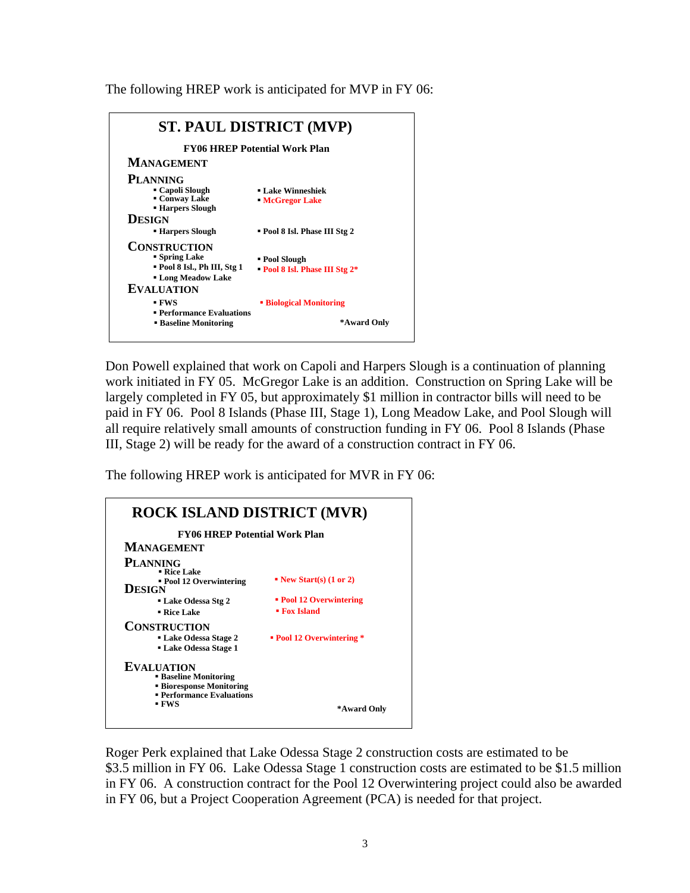The following HREP work is anticipated for MVP in FY 06:

| <b>ST. PAUL DISTRICT (MVP)</b><br><b>FY06 HREP Potential Work Plan</b>                                               |                                                |  |
|----------------------------------------------------------------------------------------------------------------------|------------------------------------------------|--|
|                                                                                                                      |                                                |  |
| <b>PLANNING</b><br>■ Capoli Slough<br>Conway Lake<br><b>Example Brand</b> Figures <b>Brand</b><br><b>DESIGN</b>      | <b>Lake Winneshiek</b><br><b>McGregor Lake</b> |  |
| <b>Harpers Slough</b>                                                                                                | ■ Pool 8 Isl. Phase III Stg 2                  |  |
| <b>CONSTRUCTION</b><br>• Spring Lake<br>" Pool 8 Isl., Ph III, Stg 1<br><b>Long Meadow Lake</b><br><b>EVALUATION</b> | • Pool Slough<br>Pool 8 Isl. Phase III Stg 2*  |  |
| - FWS<br><b>• Performance Evaluations</b><br><b>Baseline Monitoring</b>                                              | <b>Biological Monitoring</b><br>*Award Only    |  |

Don Powell explained that work on Capoli and Harpers Slough is a continuation of planning work initiated in FY 05. McGregor Lake is an addition. Construction on Spring Lake will be largely completed in FY 05, but approximately \$1 million in contractor bills will need to be paid in FY 06. Pool 8 Islands (Phase III, Stage 1), Long Meadow Lake, and Pool Slough will all require relatively small amounts of construction funding in FY 06. Pool 8 Islands (Phase III, Stage 2) will be ready for the award of a construction contract in FY 06.

The following HREP work is anticipated for MVR in FY 06:



Roger Perk explained that Lake Odessa Stage 2 construction costs are estimated to be \$3.5 million in FY 06. Lake Odessa Stage 1 construction costs are estimated to be \$1.5 million in FY 06. A construction contract for the Pool 12 Overwintering project could also be awarded in FY 06, but a Project Cooperation Agreement (PCA) is needed for that project.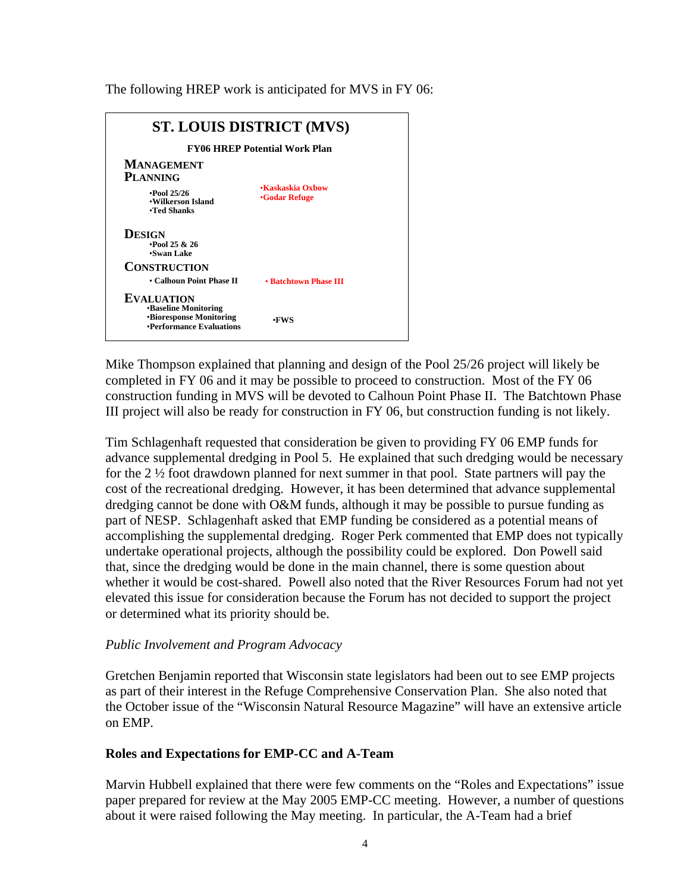The following HREP work is anticipated for MVS in FY 06:

| <b>ST. LOUIS DISTRICT (MVS)</b><br><b>FY06 HREP Potential Work Plan</b>                                        |                       |  |
|----------------------------------------------------------------------------------------------------------------|-----------------------|--|
|                                                                                                                |                       |  |
| <b>DESIGN</b><br>$\cdot$ Pool 25 & 26<br>•Swan Lake                                                            |                       |  |
| <b>CONSTRUCTION</b><br>• Calhoun Point Phase II                                                                | • Batchtown Phase III |  |
| <b>EVALUATION</b><br><b>•Baseline Monitoring</b><br><b>•Bioresponse Monitoring</b><br>•Performance Evaluations | •FWS                  |  |

Mike Thompson explained that planning and design of the Pool 25/26 project will likely be completed in FY 06 and it may be possible to proceed to construction. Most of the FY 06 construction funding in MVS will be devoted to Calhoun Point Phase II. The Batchtown Phase III project will also be ready for construction in FY 06, but construction funding is not likely.

Tim Schlagenhaft requested that consideration be given to providing FY 06 EMP funds for advance supplemental dredging in Pool 5. He explained that such dredging would be necessary for the 2 ½ foot drawdown planned for next summer in that pool. State partners will pay the cost of the recreational dredging. However, it has been determined that advance supplemental dredging cannot be done with O&M funds, although it may be possible to pursue funding as part of NESP. Schlagenhaft asked that EMP funding be considered as a potential means of accomplishing the supplemental dredging. Roger Perk commented that EMP does not typically undertake operational projects, although the possibility could be explored. Don Powell said that, since the dredging would be done in the main channel, there is some question about whether it would be cost-shared. Powell also noted that the River Resources Forum had not yet elevated this issue for consideration because the Forum has not decided to support the project or determined what its priority should be.

### *Public Involvement and Program Advocacy*

Gretchen Benjamin reported that Wisconsin state legislators had been out to see EMP projects as part of their interest in the Refuge Comprehensive Conservation Plan. She also noted that the October issue of the "Wisconsin Natural Resource Magazine" will have an extensive article on EMP.

# **Roles and Expectations for EMP-CC and A-Team**

Marvin Hubbell explained that there were few comments on the "Roles and Expectations" issue paper prepared for review at the May 2005 EMP-CC meeting. However, a number of questions about it were raised following the May meeting. In particular, the A-Team had a brief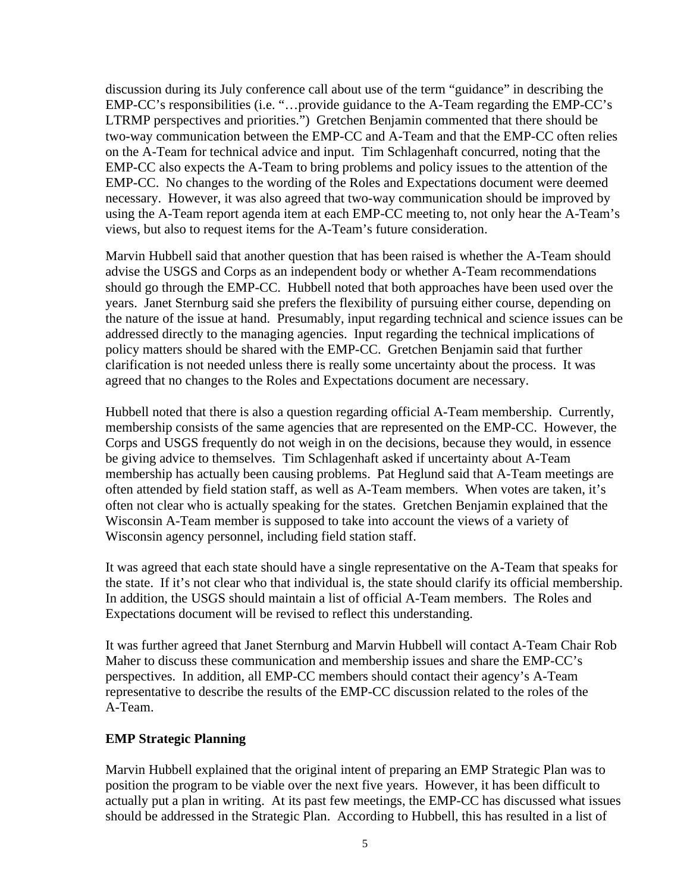discussion during its July conference call about use of the term "guidance" in describing the EMP-CC's responsibilities (i.e. "…provide guidance to the A-Team regarding the EMP-CC's LTRMP perspectives and priorities.") Gretchen Benjamin commented that there should be two-way communication between the EMP-CC and A-Team and that the EMP-CC often relies on the A-Team for technical advice and input. Tim Schlagenhaft concurred, noting that the EMP-CC also expects the A-Team to bring problems and policy issues to the attention of the EMP-CC. No changes to the wording of the Roles and Expectations document were deemed necessary. However, it was also agreed that two-way communication should be improved by using the A-Team report agenda item at each EMP-CC meeting to, not only hear the A-Team's views, but also to request items for the A-Team's future consideration.

Marvin Hubbell said that another question that has been raised is whether the A-Team should advise the USGS and Corps as an independent body or whether A-Team recommendations should go through the EMP-CC. Hubbell noted that both approaches have been used over the years. Janet Sternburg said she prefers the flexibility of pursuing either course, depending on the nature of the issue at hand. Presumably, input regarding technical and science issues can be addressed directly to the managing agencies. Input regarding the technical implications of policy matters should be shared with the EMP-CC. Gretchen Benjamin said that further clarification is not needed unless there is really some uncertainty about the process. It was agreed that no changes to the Roles and Expectations document are necessary.

Hubbell noted that there is also a question regarding official A-Team membership. Currently, membership consists of the same agencies that are represented on the EMP-CC. However, the Corps and USGS frequently do not weigh in on the decisions, because they would, in essence be giving advice to themselves. Tim Schlagenhaft asked if uncertainty about A-Team membership has actually been causing problems. Pat Heglund said that A-Team meetings are often attended by field station staff, as well as A-Team members. When votes are taken, it's often not clear who is actually speaking for the states. Gretchen Benjamin explained that the Wisconsin A-Team member is supposed to take into account the views of a variety of Wisconsin agency personnel, including field station staff.

It was agreed that each state should have a single representative on the A-Team that speaks for the state. If it's not clear who that individual is, the state should clarify its official membership. In addition, the USGS should maintain a list of official A-Team members. The Roles and Expectations document will be revised to reflect this understanding.

It was further agreed that Janet Sternburg and Marvin Hubbell will contact A-Team Chair Rob Maher to discuss these communication and membership issues and share the EMP-CC's perspectives. In addition, all EMP-CC members should contact their agency's A-Team representative to describe the results of the EMP-CC discussion related to the roles of the A-Team.

### **EMP Strategic Planning**

Marvin Hubbell explained that the original intent of preparing an EMP Strategic Plan was to position the program to be viable over the next five years. However, it has been difficult to actually put a plan in writing. At its past few meetings, the EMP-CC has discussed what issues should be addressed in the Strategic Plan. According to Hubbell, this has resulted in a list of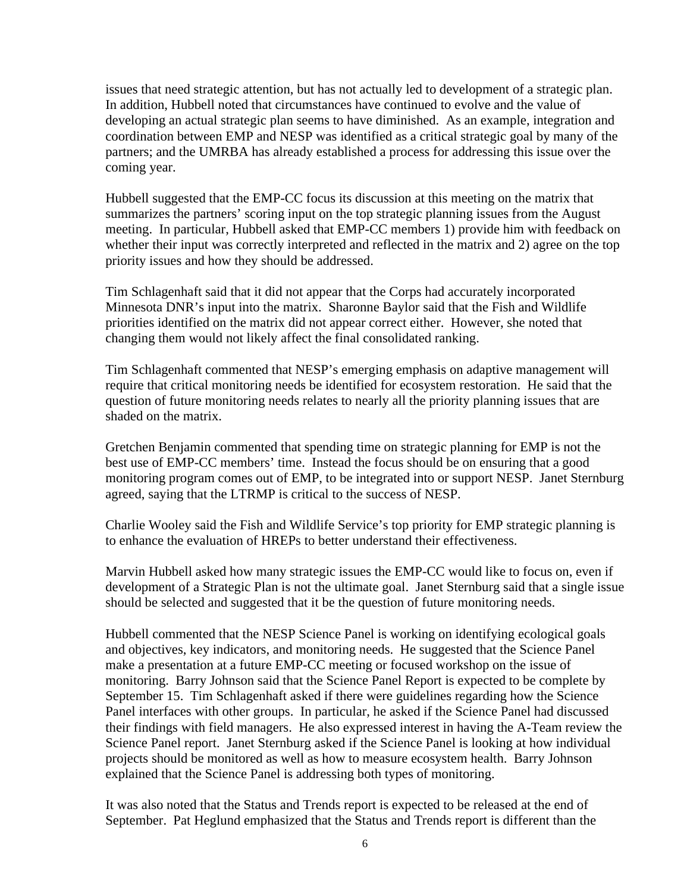issues that need strategic attention, but has not actually led to development of a strategic plan. In addition, Hubbell noted that circumstances have continued to evolve and the value of developing an actual strategic plan seems to have diminished. As an example, integration and coordination between EMP and NESP was identified as a critical strategic goal by many of the partners; and the UMRBA has already established a process for addressing this issue over the coming year.

Hubbell suggested that the EMP-CC focus its discussion at this meeting on the matrix that summarizes the partners' scoring input on the top strategic planning issues from the August meeting. In particular, Hubbell asked that EMP-CC members 1) provide him with feedback on whether their input was correctly interpreted and reflected in the matrix and 2) agree on the top priority issues and how they should be addressed.

Tim Schlagenhaft said that it did not appear that the Corps had accurately incorporated Minnesota DNR's input into the matrix. Sharonne Baylor said that the Fish and Wildlife priorities identified on the matrix did not appear correct either. However, she noted that changing them would not likely affect the final consolidated ranking.

Tim Schlagenhaft commented that NESP's emerging emphasis on adaptive management will require that critical monitoring needs be identified for ecosystem restoration. He said that the question of future monitoring needs relates to nearly all the priority planning issues that are shaded on the matrix.

Gretchen Benjamin commented that spending time on strategic planning for EMP is not the best use of EMP-CC members' time. Instead the focus should be on ensuring that a good monitoring program comes out of EMP, to be integrated into or support NESP. Janet Sternburg agreed, saying that the LTRMP is critical to the success of NESP.

Charlie Wooley said the Fish and Wildlife Service's top priority for EMP strategic planning is to enhance the evaluation of HREPs to better understand their effectiveness.

Marvin Hubbell asked how many strategic issues the EMP-CC would like to focus on, even if development of a Strategic Plan is not the ultimate goal. Janet Sternburg said that a single issue should be selected and suggested that it be the question of future monitoring needs.

Hubbell commented that the NESP Science Panel is working on identifying ecological goals and objectives, key indicators, and monitoring needs. He suggested that the Science Panel make a presentation at a future EMP-CC meeting or focused workshop on the issue of monitoring. Barry Johnson said that the Science Panel Report is expected to be complete by September 15. Tim Schlagenhaft asked if there were guidelines regarding how the Science Panel interfaces with other groups. In particular, he asked if the Science Panel had discussed their findings with field managers. He also expressed interest in having the A-Team review the Science Panel report. Janet Sternburg asked if the Science Panel is looking at how individual projects should be monitored as well as how to measure ecosystem health. Barry Johnson explained that the Science Panel is addressing both types of monitoring.

It was also noted that the Status and Trends report is expected to be released at the end of September. Pat Heglund emphasized that the Status and Trends report is different than the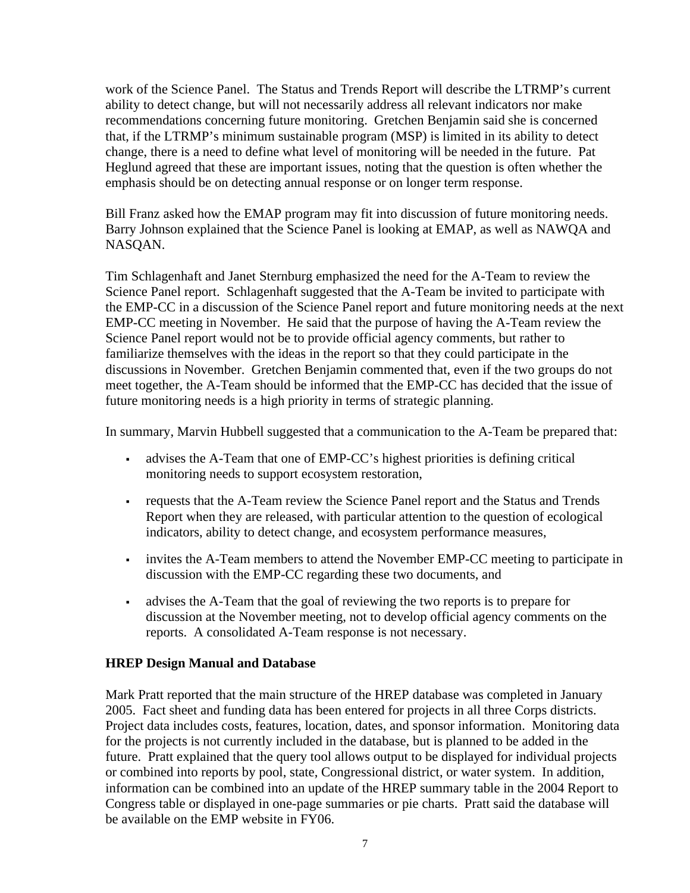work of the Science Panel. The Status and Trends Report will describe the LTRMP's current ability to detect change, but will not necessarily address all relevant indicators nor make recommendations concerning future monitoring. Gretchen Benjamin said she is concerned that, if the LTRMP's minimum sustainable program (MSP) is limited in its ability to detect change, there is a need to define what level of monitoring will be needed in the future. Pat Heglund agreed that these are important issues, noting that the question is often whether the emphasis should be on detecting annual response or on longer term response.

Bill Franz asked how the EMAP program may fit into discussion of future monitoring needs. Barry Johnson explained that the Science Panel is looking at EMAP, as well as NAWQA and NASQAN.

Tim Schlagenhaft and Janet Sternburg emphasized the need for the A-Team to review the Science Panel report. Schlagenhaft suggested that the A-Team be invited to participate with the EMP-CC in a discussion of the Science Panel report and future monitoring needs at the next EMP-CC meeting in November. He said that the purpose of having the A-Team review the Science Panel report would not be to provide official agency comments, but rather to familiarize themselves with the ideas in the report so that they could participate in the discussions in November. Gretchen Benjamin commented that, even if the two groups do not meet together, the A-Team should be informed that the EMP-CC has decided that the issue of future monitoring needs is a high priority in terms of strategic planning.

In summary, Marvin Hubbell suggested that a communication to the A-Team be prepared that:

- advises the A-Team that one of EMP-CC's highest priorities is defining critical monitoring needs to support ecosystem restoration,
- requests that the A-Team review the Science Panel report and the Status and Trends Report when they are released, with particular attention to the question of ecological indicators, ability to detect change, and ecosystem performance measures,
- invites the A-Team members to attend the November EMP-CC meeting to participate in discussion with the EMP-CC regarding these two documents, and
- advises the A-Team that the goal of reviewing the two reports is to prepare for discussion at the November meeting, not to develop official agency comments on the reports. A consolidated A-Team response is not necessary.

# **HREP Design Manual and Database**

Mark Pratt reported that the main structure of the HREP database was completed in January 2005. Fact sheet and funding data has been entered for projects in all three Corps districts. Project data includes costs, features, location, dates, and sponsor information. Monitoring data for the projects is not currently included in the database, but is planned to be added in the future. Pratt explained that the query tool allows output to be displayed for individual projects or combined into reports by pool, state, Congressional district, or water system. In addition, information can be combined into an update of the HREP summary table in the 2004 Report to Congress table or displayed in one-page summaries or pie charts. Pratt said the database will be available on the EMP website in FY06.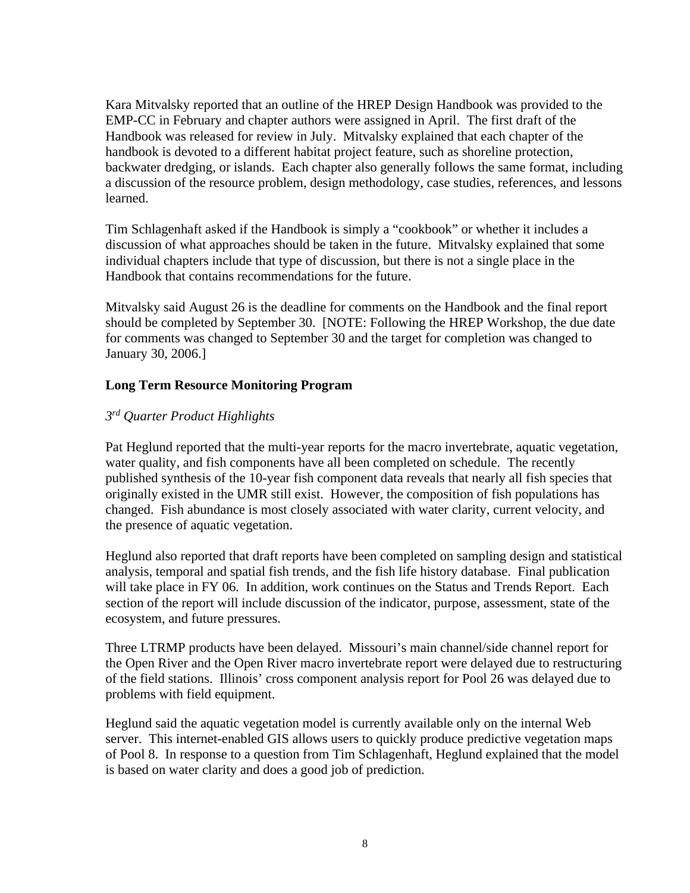Kara Mitvalsky reported that an outline of the HREP Design Handbook was provided to the EMP-CC in February and chapter authors were assigned in April. The first draft of the Handbook was released for review in July. Mitvalsky explained that each chapter of the handbook is devoted to a different habitat project feature, such as shoreline protection, backwater dredging, or islands. Each chapter also generally follows the same format, including a discussion of the resource problem, design methodology, case studies, references, and lessons learned.

Tim Schlagenhaft asked if the Handbook is simply a "cookbook" or whether it includes a discussion of what approaches should be taken in the future. Mitvalsky explained that some individual chapters include that type of discussion, but there is not a single place in the Handbook that contains recommendations for the future.

Mitvalsky said August 26 is the deadline for comments on the Handbook and the final report should be completed by September 30. [NOTE: Following the HREP Workshop, the due date for comments was changed to September 30 and the target for completion was changed to January 30, 2006.]

### **Long Term Resource Monitoring Program**

### *3rd Quarter Product Highlights*

Pat Heglund reported that the multi-year reports for the macro invertebrate, aquatic vegetation, water quality, and fish components have all been completed on schedule. The recently published synthesis of the 10-year fish component data reveals that nearly all fish species that originally existed in the UMR still exist. However, the composition of fish populations has changed. Fish abundance is most closely associated with water clarity, current velocity, and the presence of aquatic vegetation.

Heglund also reported that draft reports have been completed on sampling design and statistical analysis, temporal and spatial fish trends, and the fish life history database. Final publication will take place in FY 06. In addition, work continues on the Status and Trends Report. Each section of the report will include discussion of the indicator, purpose, assessment, state of the ecosystem, and future pressures.

Three LTRMP products have been delayed. Missouri's main channel/side channel report for the Open River and the Open River macro invertebrate report were delayed due to restructuring of the field stations. Illinois' cross component analysis report for Pool 26 was delayed due to problems with field equipment.

Heglund said the aquatic vegetation model is currently available only on the internal Web server. This internet-enabled GIS allows users to quickly produce predictive vegetation maps of Pool 8. In response to a question from Tim Schlagenhaft, Heglund explained that the model is based on water clarity and does a good job of prediction.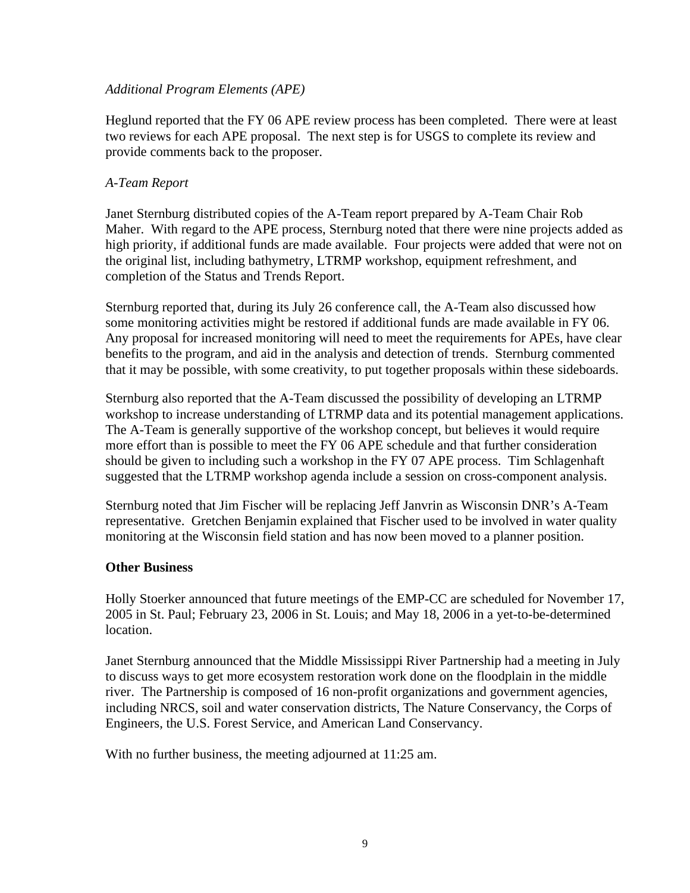### *Additional Program Elements (APE)*

Heglund reported that the FY 06 APE review process has been completed. There were at least two reviews for each APE proposal. The next step is for USGS to complete its review and provide comments back to the proposer.

### *A-Team Report*

Janet Sternburg distributed copies of the A-Team report prepared by A-Team Chair Rob Maher. With regard to the APE process, Sternburg noted that there were nine projects added as high priority, if additional funds are made available. Four projects were added that were not on the original list, including bathymetry, LTRMP workshop, equipment refreshment, and completion of the Status and Trends Report.

Sternburg reported that, during its July 26 conference call, the A-Team also discussed how some monitoring activities might be restored if additional funds are made available in FY 06. Any proposal for increased monitoring will need to meet the requirements for APEs, have clear benefits to the program, and aid in the analysis and detection of trends. Sternburg commented that it may be possible, with some creativity, to put together proposals within these sideboards.

Sternburg also reported that the A-Team discussed the possibility of developing an LTRMP workshop to increase understanding of LTRMP data and its potential management applications. The A-Team is generally supportive of the workshop concept, but believes it would require more effort than is possible to meet the FY 06 APE schedule and that further consideration should be given to including such a workshop in the FY 07 APE process. Tim Schlagenhaft suggested that the LTRMP workshop agenda include a session on cross-component analysis.

Sternburg noted that Jim Fischer will be replacing Jeff Janvrin as Wisconsin DNR's A-Team representative. Gretchen Benjamin explained that Fischer used to be involved in water quality monitoring at the Wisconsin field station and has now been moved to a planner position.

# **Other Business**

Holly Stoerker announced that future meetings of the EMP-CC are scheduled for November 17, 2005 in St. Paul; February 23, 2006 in St. Louis; and May 18, 2006 in a yet-to-be-determined location.

Janet Sternburg announced that the Middle Mississippi River Partnership had a meeting in July to discuss ways to get more ecosystem restoration work done on the floodplain in the middle river. The Partnership is composed of 16 non-profit organizations and government agencies, including NRCS, soil and water conservation districts, The Nature Conservancy, the Corps of Engineers, the U.S. Forest Service, and American Land Conservancy.

With no further business, the meeting adjourned at 11:25 am.